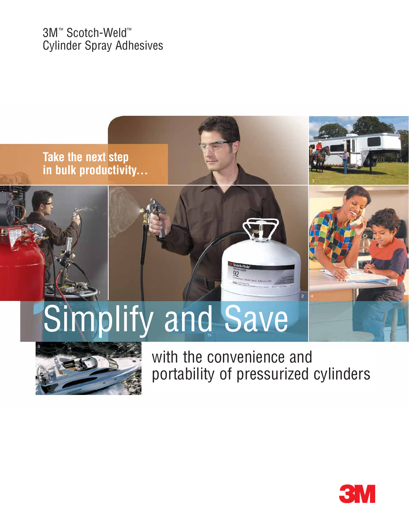3M™ Scotch-Weld™ Cylinder Spray Adhesives





with the convenience and portability of pressurized cylinders

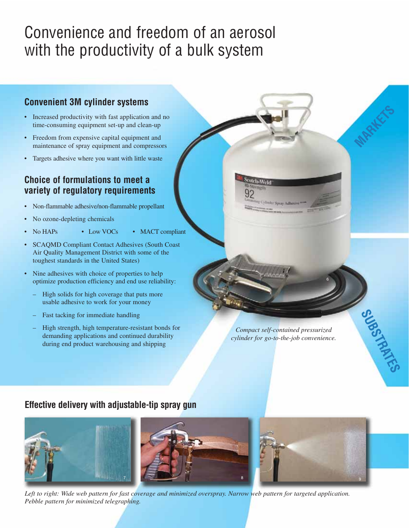# Convenience and freedom of an aerosol with the productivity of a bulk system

### **Convenient 3M cylinder systems**

- Increased productivity with fast application and no time-consuming equipment set-up and clean-up
- Freedom from expensive capital equipment and maintenance of spray equipment and compressors
- Targets adhesive where you want with little waste

### **Choice of formulations to meet a variety of regulatory requirements**

- Non-flammable adhesive/non-flammable propellant
- No ozone-depleting chemicals
- No HAPs Low VOCs MACT compliant
- SCAQMD Compliant Contact Adhesives (South Coast Air Quality Management District with some of the toughest standards in the United States)
- Nine adhesives with choice of properties to help optimize production efficiency and end use reliability:
	- High solids for high coverage that puts more usable adhesive to work for your money
	- Fast tacking for immediate handling
	- High strength, high temperature-resistant bonds for demanding applications and continued durability during end product warehousing and shipping

*Compact self-contained pressurized cylinder for go-to-the-job convenience.*

6

**MARKETS** 

SUBSTRATES

### **Effective delivery with adjustable-tip spray gun**



*Left to right: Wide web pattern for fast coverage and minimized overspray. Narrow web pattern for targeted application. Pebble pattern for minimized telegraphing.*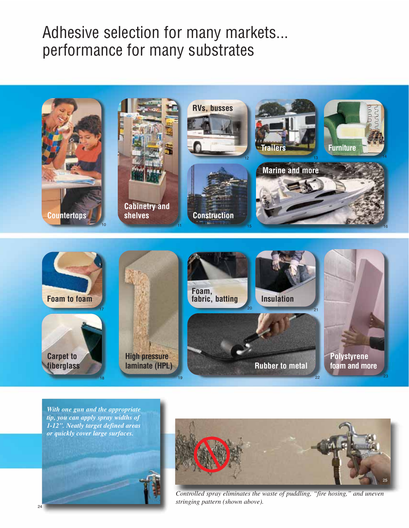## Adhesive selection for many markets... performance for many substrates



*With one gun and the appropriate tip, you can apply spray widths of 1-12". Neatly target defined areas or quickly cover large surfaces.*



*Controlled spray eliminates the waste of puddling, "fire hosing," and uneven stringing pattern (shown above).*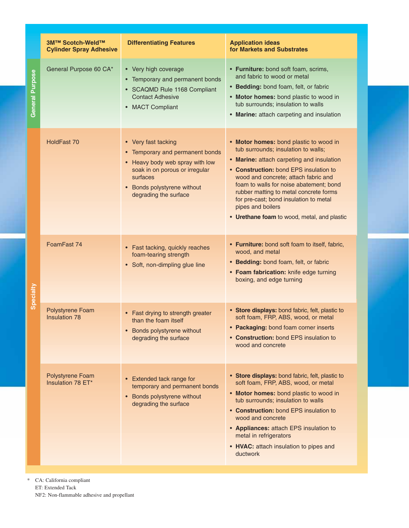|                        | <b>3M™ Scotch-Weld™</b><br><b>Cylinder Spray Adhesive</b> | <b>Differentiating Features</b>                                                                                                                                                                 | <b>Application ideas</b><br>for Markets and Substrates                                                                                                                                                                                                                                                                                                                                                          |
|------------------------|-----------------------------------------------------------|-------------------------------------------------------------------------------------------------------------------------------------------------------------------------------------------------|-----------------------------------------------------------------------------------------------------------------------------------------------------------------------------------------------------------------------------------------------------------------------------------------------------------------------------------------------------------------------------------------------------------------|
| <b>General Purpose</b> | General Purpose 60 CA*                                    | • Very high coverage<br>Temporary and permanent bonds<br><b>SCAQMD Rule 1168 Compliant</b><br><b>Contact Adhesive</b><br>• MACT Compliant                                                       | • Furniture: bond soft foam, scrims,<br>and fabric to wood or metal<br>• Bedding: bond foam, felt, or fabric<br>• Motor homes: bond plastic to wood in<br>tub surrounds; insulation to walls<br>• Marine: attach carpeting and insulation                                                                                                                                                                       |
|                        | HoldFast 70                                               | • Very fast tacking<br>• Temporary and permanent bonds<br>• Heavy body web spray with low<br>soak in on porous or irregular<br>surfaces<br>• Bonds polystyrene without<br>degrading the surface | • Motor homes: bond plastic to wood in<br>tub surrounds; insulation to walls;<br>• Marine: attach carpeting and insulation<br>• Construction: bond EPS insulation to<br>wood and concrete; attach fabric and<br>foam to walls for noise abatement; bond<br>rubber matting to metal concrete forms<br>for pre-cast; bond insulation to metal<br>pipes and boilers<br>• Urethane foam to wood, metal, and plastic |
| Specialty              | FoamFast 74                                               | • Fast tacking, quickly reaches<br>foam-tearing strength<br>• Soft, non-dimpling glue line                                                                                                      | • Furniture: bond soft foam to itself, fabric,<br>wood, and metal<br>• Bedding: bond foam, felt, or fabric<br>• Foam fabrication: knife edge turning<br>boxing, and edge turning                                                                                                                                                                                                                                |
|                        | Polystyrene Foam<br><b>Insulation 78</b>                  | Fast drying to strength greater<br>$\bullet$<br>than the foam itself<br>• Bonds polystyrene without<br>degrading the surface                                                                    | • Store displays: bond fabric, felt, plastic to<br>soft foam, FRP, ABS, wood, or metal<br>• Packaging: bond foam corner inserts<br>• Construction: bond EPS insulation to<br>wood and concrete                                                                                                                                                                                                                  |
|                        | Polystyrene Foam<br>Insulation 78 ET*                     | • Extended tack range for<br>temporary and permanent bonds<br>• Bonds polystyrene without<br>degrading the surface                                                                              | • Store displays: bond fabric, felt, plastic to<br>soft foam, FRP, ABS, wood, or metal<br>• Motor homes: bond plastic to wood in<br>tub surrounds; insulation to walls<br>• Construction: bond EPS insulation to<br>wood and concrete<br>• Appliances: attach EPS insulation to<br>metal in refrigerators<br>• HVAC: attach insulation to pipes and<br>ductwork                                                 |

\* CA: California compliant ET: Extended Tack NF2: Non-flammable adhesive and propellant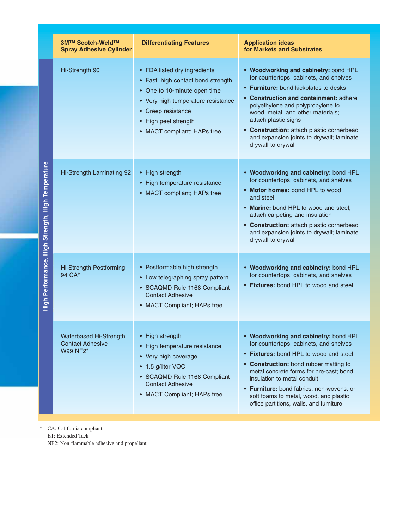| 3M™ Scotch-Weld™<br><b>Spray Adhesive Cylinder</b>                   | <b>Differentiating Features</b>                                                                                                                                                                                       | <b>Application ideas</b><br>for Markets and Substrates                                                                                                                                                                                                                                                                                                                               |
|----------------------------------------------------------------------|-----------------------------------------------------------------------------------------------------------------------------------------------------------------------------------------------------------------------|--------------------------------------------------------------------------------------------------------------------------------------------------------------------------------------------------------------------------------------------------------------------------------------------------------------------------------------------------------------------------------------|
| Hi-Strength 90                                                       | • FDA listed dry ingredients<br>• Fast, high contact bond strength<br>• One to 10-minute open time<br>• Very high temperature resistance<br>• Creep resistance<br>• High peel strength<br>• MACT compliant; HAPs free | • Woodworking and cabinetry: bond HPL<br>for countertops, cabinets, and shelves<br>• Furniture: bond kickplates to desks<br>• Construction and containment: adhere<br>polyethylene and polypropylene to<br>wood, metal, and other materials;<br>attach plastic signs<br>• Construction: attach plastic cornerbead<br>and expansion joints to drywall; laminate<br>drywall to drywall |
| Hi-Strength Laminating 92                                            | • High strength<br>• High temperature resistance<br>• MACT compliant; HAPs free                                                                                                                                       | • Woodworking and cabinetry: bond HPL<br>for countertops, cabinets, and shelves<br>• Motor homes: bond HPL to wood<br>and steel<br>• Marine: bond HPL to wood and steel;<br>attach carpeting and insulation<br>• Construction: attach plastic cornerbead<br>and expansion joints to drywall; laminate<br>drywall to drywall                                                          |
| <b>Hi-Strength Postforming</b><br>94 CA*                             | • Postformable high strength<br>• Low telegraphing spray pattern<br>• SCAQMD Rule 1168 Compliant<br><b>Contact Adhesive</b><br>• MACT Compliant; HAPs free                                                            | • Woodworking and cabinetry: bond HPL<br>for countertops, cabinets, and shelves<br>• Fixtures: bond HPL to wood and steel                                                                                                                                                                                                                                                            |
| <b>Waterbased Hi-Strength</b><br><b>Contact Adhesive</b><br>W99 NF2* | • High strength<br>• High temperature resistance<br>• Very high coverage<br>• 1.5 g/liter VOC<br>• SCAQMD Rule 1168 Compliant<br><b>Contact Adhesive</b><br>• MACT Compliant; HAPs free                               | • Woodworking and cabinetry: bond HPL<br>for countertops, cabinets, and shelves<br>• Fixtures: bond HPL to wood and steel<br>• Construction: bond rubber matting to<br>metal concrete forms for pre-cast; bond<br>insulation to metal conduit<br>• Furniture: bond fabrics, non-wovens, or<br>soft foams to metal, wood, and plastic<br>office partitions, walls, and furniture      |

\* CA: California compliant ET: Extended Tack NF2: Non-flammable adhesive and propellant

High Performance, High Strength, High Temperature **High Performance, High Strength, High Temperature**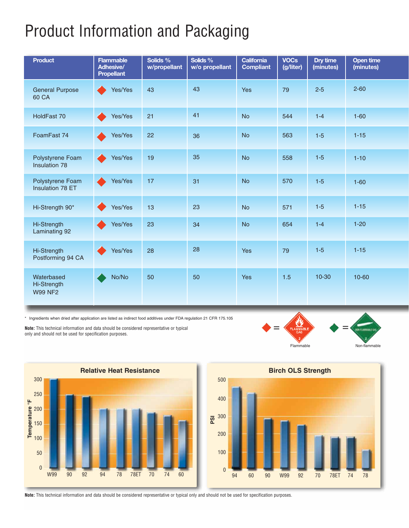# Product Information and Packaging

| <b>Product</b>                                     | <b>Flammable</b><br><b>Adhesive/</b><br><b>Propellant</b> | Solids %<br>w/propellant | Solids %<br>w/o propellant | California<br><b>Compliant</b> | <b>VOCs</b><br>(g/liter) | Dry time<br>(minutes) | <b>Open time</b><br>(minutes) |
|----------------------------------------------------|-----------------------------------------------------------|--------------------------|----------------------------|--------------------------------|--------------------------|-----------------------|-------------------------------|
| <b>General Purpose</b><br>60 CA                    | Yes/Yes                                                   | 43                       | 43                         | Yes                            | 79                       | $2 - 5$               | $2 - 60$                      |
| HoldFast 70                                        | Yes/Yes                                                   | 21                       | 41                         | <b>No</b>                      | 544                      | $1-4$                 | $1 - 60$                      |
| FoamFast 74                                        | Yes/Yes                                                   | 22                       | 36                         | <b>No</b>                      | 563                      | $1-5$                 | $1 - 15$                      |
| Polystyrene Foam<br>Insulation 78                  | Yes/Yes                                                   | 19                       | 35                         | <b>No</b>                      | 558                      | $1-5$                 | $1 - 10$                      |
| Polystyrene Foam<br><b>Insulation 78 ET</b>        | Yes/Yes                                                   | 17                       | 31                         | <b>No</b>                      | 570                      | $1-5$                 | $1 - 60$                      |
| Hi-Strength 90*                                    | Yes/Yes                                                   | 13                       | 23                         | <b>No</b>                      | 571                      | $1-5$                 | $1 - 15$                      |
| Hi-Strength<br>Laminating 92                       | Yes/Yes                                                   | 23                       | 34                         | <b>No</b>                      | 654                      | $1-4$                 | $1 - 20$                      |
| Hi-Strength<br>Postforming 94 CA                   | Yes/Yes                                                   | 28                       | 28                         | Yes                            | 79                       | $1-5$                 | $1 - 15$                      |
| Waterbased<br><b>Hi-Strength</b><br><b>W99 NF2</b> | No/No                                                     | 50                       | 50                         | Yes                            | 1.5                      | $10 - 30$             | 10-60                         |

\* Ingredients when dried after application are listed as indirect food additives under FDA regulation 21 CFR 175.105

**Note:** This technical information and data should be considered representative or typical only and should not be used for specification purposes.







**Note:** This technical information and data should be considered representative or typical only and should not be used for specification purposes.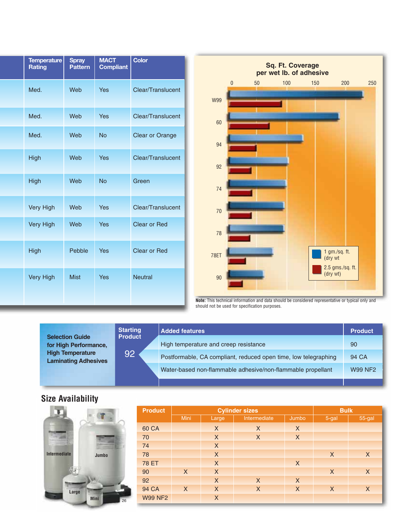| <b>Temperature</b><br>Rating | <b>Spray</b><br><b>Pattern</b> | <b>MACT</b><br><b>Compliant</b> | <b>Color</b>           |  |  |
|------------------------------|--------------------------------|---------------------------------|------------------------|--|--|
| Med.                         | Web                            | Yes                             | Clear/Translucent      |  |  |
| Med.                         | Web                            | <b>Yes</b>                      | Clear/Translucent      |  |  |
| Med.                         | Web                            | <b>No</b>                       | <b>Clear or Orange</b> |  |  |
| High                         | Web                            | Yes                             | Clear/Translucent      |  |  |
| High                         | Web                            | <b>No</b>                       | Green                  |  |  |
| <b>Very High</b>             | Web                            | Yes                             | Clear/Translucent      |  |  |
| <b>Very High</b>             | Web                            | Yes                             | <b>Clear or Red</b>    |  |  |
| High                         | Pebble                         | Yes                             | <b>Clear or Red</b>    |  |  |
| <b>Very High</b>             | <b>Mist</b>                    | <b>Yes</b>                      | <b>Neutral</b>         |  |  |



**Note:** This technical information and data should be considered representative or typical only and should not be used for specification purposes.

| <b>Selection Guide</b>                                 | <b>Starting</b><br><b>Product</b> | <b>Added features</b>                                           | Product        |
|--------------------------------------------------------|-----------------------------------|-----------------------------------------------------------------|----------------|
| for High Performance,                                  |                                   | High temperature and creep resistance                           | 90             |
| <b>High Temperature</b><br><b>Laminating Adhesives</b> | 92                                | Postformable, CA compliant, reduced open time, low telegraphing | 94 CA          |
|                                                        |                                   | Water-based non-flammable adhesive/non-flammable propellant     | <b>W99 NF2</b> |
|                                                        |                                   |                                                                 |                |

### **Size Availability**

**Intermediate**

 $\overline{\mathbf{r}}$ 

**Mini**

**Large**

**Jumbo**

| <b>Product</b> | <b>Cylinder sizes</b> |          |              |          | <b>Bulk</b>  |          |
|----------------|-----------------------|----------|--------------|----------|--------------|----------|
|                | Mini                  | Large    | Intermediate | Jumbo    | $5-gal$      | 55-gal   |
| 60 CA          |                       | $\times$ | $\times$     | $\times$ |              |          |
| 70             |                       | $\times$ | $\times$     | $\times$ |              |          |
| 74             |                       | $\times$ |              |          |              |          |
| 78             |                       | $\times$ |              |          | $\mathsf{X}$ | $\sf X$  |
| <b>78 ET</b>   |                       | $\times$ |              | $\times$ |              |          |
| 90             | $\times$              | $\times$ |              |          | $\times$     | $\times$ |
| 92             |                       | $\times$ | $\times$     | $\times$ |              |          |
| 94 CA          | $\times$              | $\times$ | $\times$     | $\times$ | $\times$     | $\times$ |
| <b>W99 NF2</b> |                       | $\times$ |              |          |              |          |